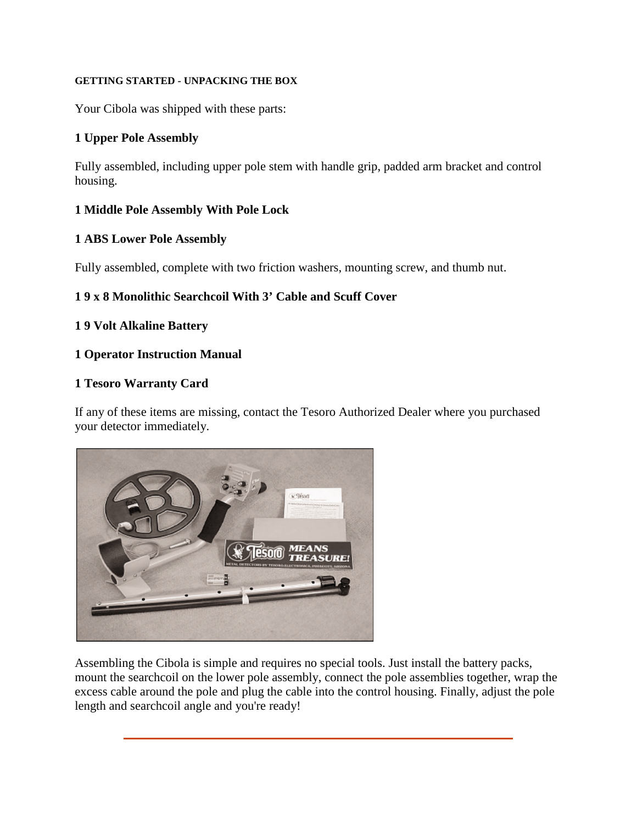# **GETTING STARTED - UNPACKING THE BOX**

Your Cibola was shipped with these parts:

# **1 Upper Pole Assembly**

Fully assembled, including upper pole stem with handle grip, padded arm bracket and control housing.

# **1 Middle Pole Assembly With Pole Lock**

# **1 ABS Lower Pole Assembly**

Fully assembled, complete with two friction washers, mounting screw, and thumb nut.

# **1 9 x 8 Monolithic Searchcoil With 3' Cable and Scuff Cover**

# **1 9 Volt Alkaline Battery**

# **1 Operator Instruction Manual**

# **1 Tesoro Warranty Card**

If any of these items are missing, contact the Tesoro Authorized Dealer where you purchased your detector immediately.



Assembling the Cibola is simple and requires no special tools. Just install the battery packs, mount the searchcoil on the lower pole assembly, connect the pole assemblies together, wrap the excess cable around the pole and plug the cable into the control housing. Finally, adjust the pole length and searchcoil angle and you're ready!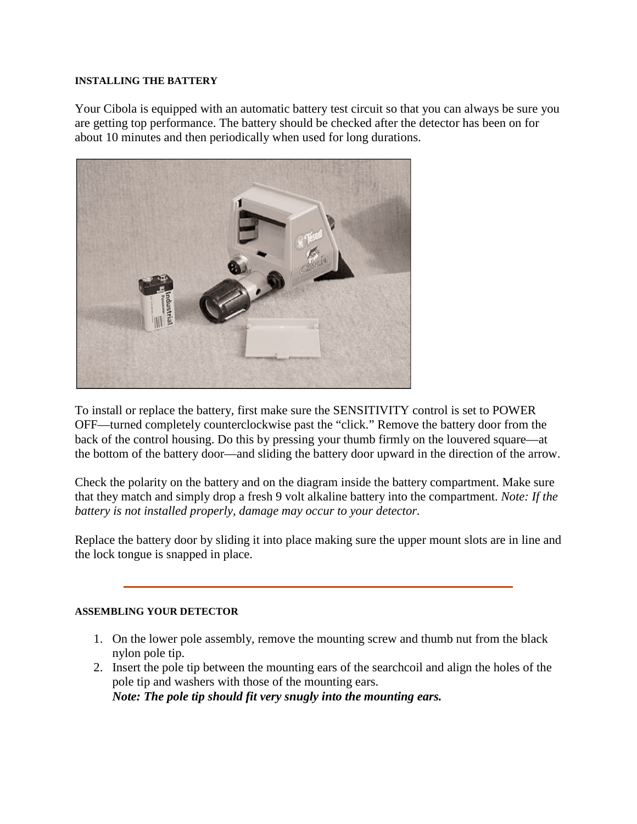### **INSTALLING THE BATTERY**

Your Cibola is equipped with an automatic battery test circuit so that you can always be sure you are getting top performance. The battery should be checked after the detector has been on for about 10 minutes and then periodically when used for long durations.



To install or replace the battery, first make sure the SENSITIVITY control is set to POWER OFF—turned completely counterclockwise past the "click." Remove the battery door from the back of the control housing. Do this by pressing your thumb firmly on the louvered square—at the bottom of the battery door—and sliding the battery door upward in the direction of the arrow.

Check the polarity on the battery and on the diagram inside the battery compartment. Make sure that they match and simply drop a fresh 9 volt alkaline battery into the compartment. *Note: If the battery is not installed properly, damage may occur to your detector.*

Replace the battery door by sliding it into place making sure the upper mount slots are in line and the lock tongue is snapped in place.

### **ASSEMBLING YOUR DETECTOR**

- 1. On the lower pole assembly, remove the mounting screw and thumb nut from the black nylon pole tip.
- 2. Insert the pole tip between the mounting ears of the searchcoil and align the holes of the pole tip and washers with those of the mounting ears. *Note: The pole tip should fit very snugly into the mounting ears.*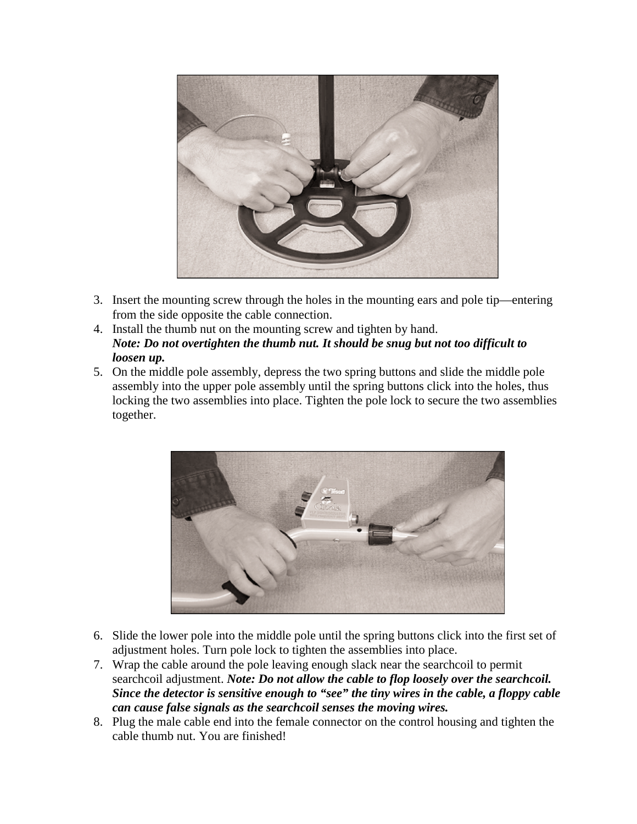

- 3. Insert the mounting screw through the holes in the mounting ears and pole tip—entering from the side opposite the cable connection.
- 4. Install the thumb nut on the mounting screw and tighten by hand. *Note: Do not overtighten the thumb nut. It should be snug but not too difficult to loosen up.*
- 5. On the middle pole assembly, depress the two spring buttons and slide the middle pole assembly into the upper pole assembly until the spring buttons click into the holes, thus locking the two assemblies into place. Tighten the pole lock to secure the two assemblies together.



- 6. Slide the lower pole into the middle pole until the spring buttons click into the first set of adjustment holes. Turn pole lock to tighten the assemblies into place.
- 7. Wrap the cable around the pole leaving enough slack near the searchcoil to permit searchcoil adjustment. *Note: Do not allow the cable to flop loosely over the searchcoil. Since the detector is sensitive enough to "see" the tiny wires in the cable, a floppy cable can cause false signals as the searchcoil senses the moving wires.*
- 8. Plug the male cable end into the female connector on the control housing and tighten the cable thumb nut. You are finished!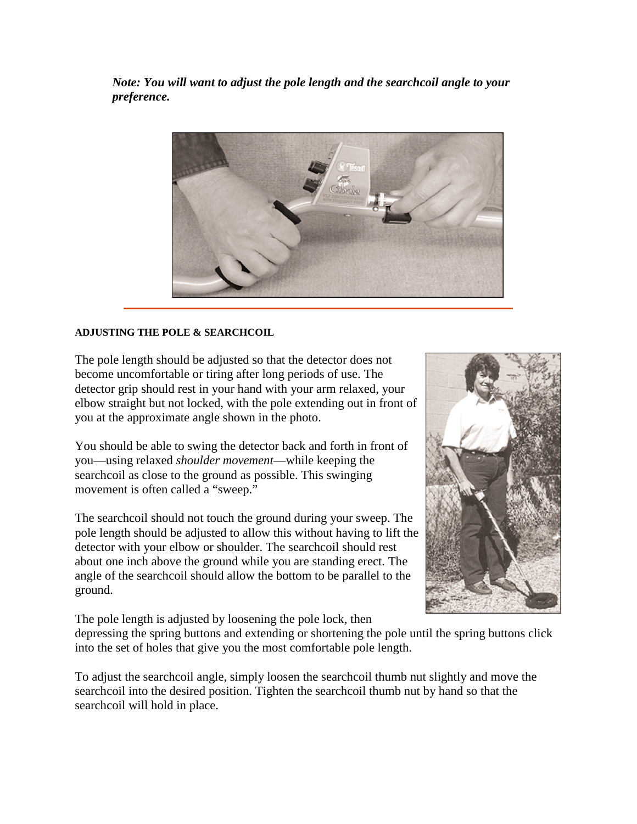*Note: You will want to adjust the pole length and the searchcoil angle to your preference.*



# **ADJUSTING THE POLE & SEARCHCOIL**

The pole length should be adjusted so that the detector does not become uncomfortable or tiring after long periods of use. The detector grip should rest in your hand with your arm relaxed, your elbow straight but not locked, with the pole extending out in front of you at the approximate angle shown in the photo.

You should be able to swing the detector back and forth in front of you—using relaxed *shoulder movement*—while keeping the searchcoil as close to the ground as possible. This swinging movement is often called a "sweep."

The searchcoil should not touch the ground during your sweep. The pole length should be adjusted to allow this without having to lift the detector with your elbow or shoulder. The searchcoil should rest about one inch above the ground while you are standing erect. The angle of the searchcoil should allow the bottom to be parallel to the ground.

The pole length is adjusted by loosening the pole lock, then

depressing the spring buttons and extending or shortening the pole until the spring buttons click into the set of holes that give you the most comfortable pole length.

To adjust the searchcoil angle, simply loosen the searchcoil thumb nut slightly and move the searchcoil into the desired position. Tighten the searchcoil thumb nut by hand so that the searchcoil will hold in place.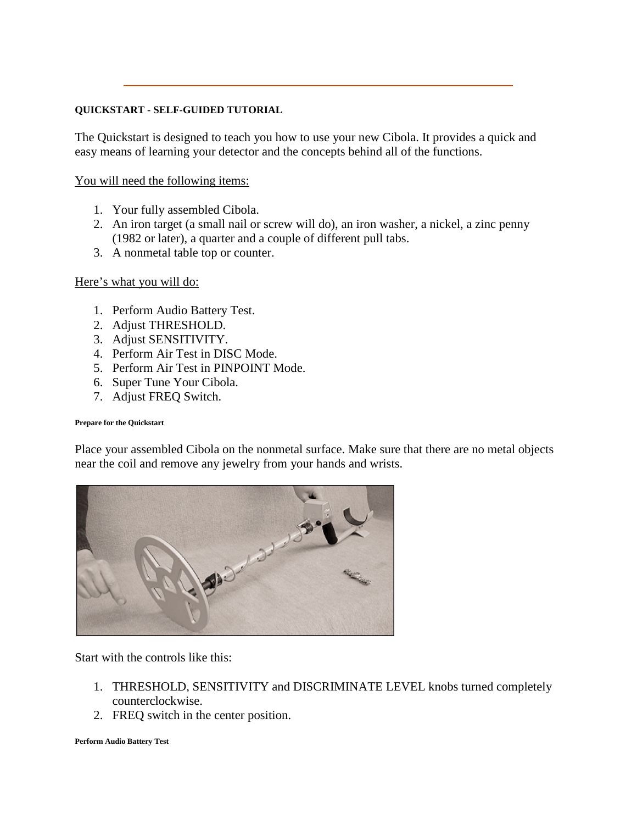### **QUICKSTART - SELF-GUIDED TUTORIAL**

The Quickstart is designed to teach you how to use your new Cibola. It provides a quick and easy means of learning your detector and the concepts behind all of the functions.

You will need the following items:

- 1. Your fully assembled Cibola.
- 2. An iron target (a small nail or screw will do), an iron washer, a nickel, a zinc penny (1982 or later), a quarter and a couple of different pull tabs.
- 3. A nonmetal table top or counter.

Here's what you will do:

- 1. Perform Audio Battery Test.
- 2. Adjust THRESHOLD.
- 3. Adjust SENSITIVITY.
- 4. Perform Air Test in DISC Mode.
- 5. Perform Air Test in PINPOINT Mode.
- 6. Super Tune Your Cibola.
- 7. Adjust FREQ Switch.

### **Prepare for the Quickstart**

Place your assembled Cibola on the nonmetal surface. Make sure that there are no metal objects near the coil and remove any jewelry from your hands and wrists.



Start with the controls like this:

- 1. THRESHOLD, SENSITIVITY and DISCRIMINATE LEVEL knobs turned completely counterclockwise.
- 2. FREQ switch in the center position.

**Perform Audio Battery Test**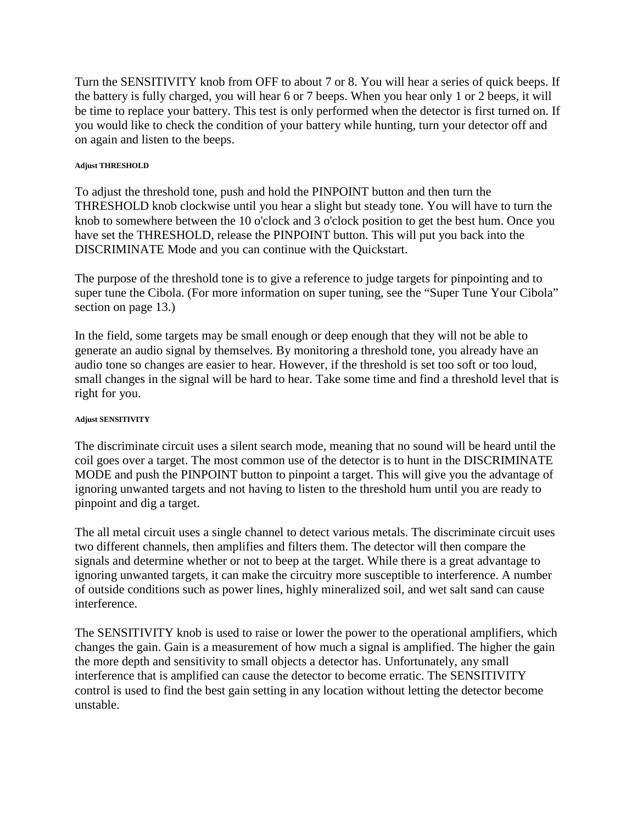Turn the SENSITIVITY knob from OFF to about 7 or 8. You will hear a series of quick beeps. If the battery is fully charged, you will hear 6 or 7 beeps. When you hear only 1 or 2 beeps, it will be time to replace your battery. This test is only performed when the detector is first turned on. If you would like to check the condition of your battery while hunting, turn your detector off and on again and listen to the beeps.

# **Adjust THRESHOLD**

To adjust the threshold tone, push and hold the PINPOINT button and then turn the THRESHOLD knob clockwise until you hear a slight but steady tone. You will have to turn the knob to somewhere between the 10 o'clock and 3 o'clock position to get the best hum. Once you have set the THRESHOLD, release the PINPOINT button. This will put you back into the DISCRIMINATE Mode and you can continue with the Quickstart.

The purpose of the threshold tone is to give a reference to judge targets for pinpointing and to super tune the Cibola. (For more information on super tuning, see the "Super Tune Your Cibola" section on page 13.)

In the field, some targets may be small enough or deep enough that they will not be able to generate an audio signal by themselves. By monitoring a threshold tone, you already have an audio tone so changes are easier to hear. However, if the threshold is set too soft or too loud, small changes in the signal will be hard to hear. Take some time and find a threshold level that is right for you.

# **Adjust SENSITIVITY**

The discriminate circuit uses a silent search mode, meaning that no sound will be heard until the coil goes over a target. The most common use of the detector is to hunt in the DISCRIMINATE MODE and push the PINPOINT button to pinpoint a target. This will give you the advantage of ignoring unwanted targets and not having to listen to the threshold hum until you are ready to pinpoint and dig a target.

The all metal circuit uses a single channel to detect various metals. The discriminate circuit uses two different channels, then amplifies and filters them. The detector will then compare the signals and determine whether or not to beep at the target. While there is a great advantage to ignoring unwanted targets, it can make the circuitry more susceptible to interference. A number of outside conditions such as power lines, highly mineralized soil, and wet salt sand can cause interference.

The SENSITIVITY knob is used to raise or lower the power to the operational amplifiers, which changes the gain. Gain is a measurement of how much a signal is amplified. The higher the gain the more depth and sensitivity to small objects a detector has. Unfortunately, any small interference that is amplified can cause the detector to become erratic. The SENSITIVITY control is used to find the best gain setting in any location without letting the detector become unstable.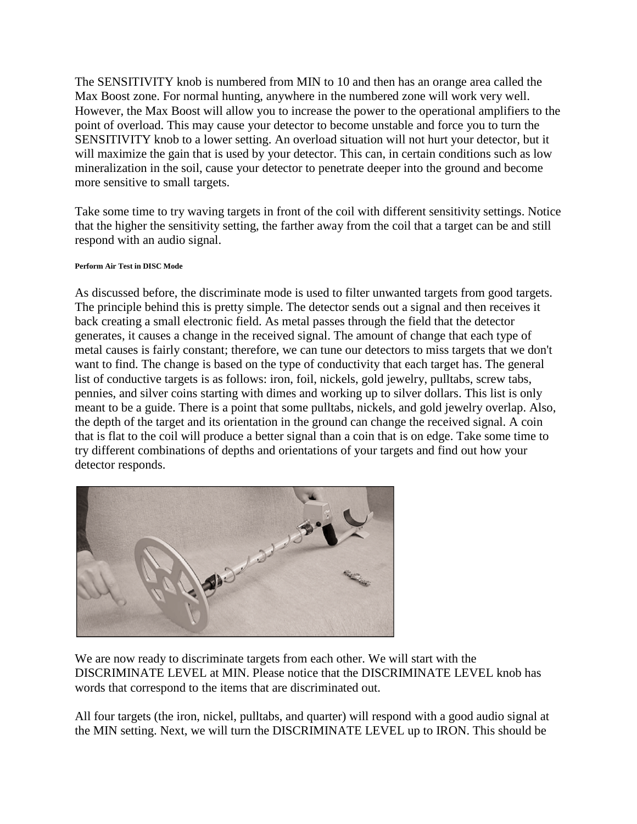The SENSITIVITY knob is numbered from MIN to 10 and then has an orange area called the Max Boost zone. For normal hunting, anywhere in the numbered zone will work very well. However, the Max Boost will allow you to increase the power to the operational amplifiers to the point of overload. This may cause your detector to become unstable and force you to turn the SENSITIVITY knob to a lower setting. An overload situation will not hurt your detector, but it will maximize the gain that is used by your detector. This can, in certain conditions such as low mineralization in the soil, cause your detector to penetrate deeper into the ground and become more sensitive to small targets.

Take some time to try waving targets in front of the coil with different sensitivity settings. Notice that the higher the sensitivity setting, the farther away from the coil that a target can be and still respond with an audio signal.

# **Perform Air Test in DISC Mode**

As discussed before, the discriminate mode is used to filter unwanted targets from good targets. The principle behind this is pretty simple. The detector sends out a signal and then receives it back creating a small electronic field. As metal passes through the field that the detector generates, it causes a change in the received signal. The amount of change that each type of metal causes is fairly constant; therefore, we can tune our detectors to miss targets that we don't want to find. The change is based on the type of conductivity that each target has. The general list of conductive targets is as follows: iron, foil, nickels, gold jewelry, pulltabs, screw tabs, pennies, and silver coins starting with dimes and working up to silver dollars. This list is only meant to be a guide. There is a point that some pulltabs, nickels, and gold jewelry overlap. Also, the depth of the target and its orientation in the ground can change the received signal. A coin that is flat to the coil will produce a better signal than a coin that is on edge. Take some time to try different combinations of depths and orientations of your targets and find out how your detector responds.



We are now ready to discriminate targets from each other. We will start with the DISCRIMINATE LEVEL at MIN. Please notice that the DISCRIMINATE LEVEL knob has words that correspond to the items that are discriminated out.

All four targets (the iron, nickel, pulltabs, and quarter) will respond with a good audio signal at the MIN setting. Next, we will turn the DISCRIMINATE LEVEL up to IRON. This should be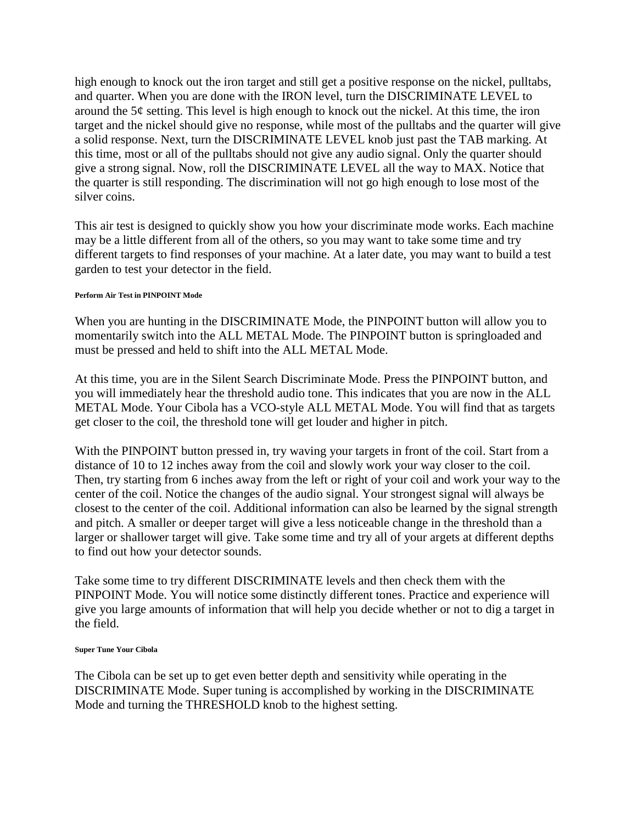high enough to knock out the iron target and still get a positive response on the nickel, pulltabs, and quarter. When you are done with the IRON level, turn the DISCRIMINATE LEVEL to around the  $5¢$  setting. This level is high enough to knock out the nickel. At this time, the iron target and the nickel should give no response, while most of the pulltabs and the quarter will give a solid response. Next, turn the DISCRIMINATE LEVEL knob just past the TAB marking. At this time, most or all of the pulltabs should not give any audio signal. Only the quarter should give a strong signal. Now, roll the DISCRIMINATE LEVEL all the way to MAX. Notice that the quarter is still responding. The discrimination will not go high enough to lose most of the silver coins.

This air test is designed to quickly show you how your discriminate mode works. Each machine may be a little different from all of the others, so you may want to take some time and try different targets to find responses of your machine. At a later date, you may want to build a test garden to test your detector in the field.

# **Perform Air Test in PINPOINT Mode**

When you are hunting in the DISCRIMINATE Mode, the PINPOINT button will allow you to momentarily switch into the ALL METAL Mode. The PINPOINT button is springloaded and must be pressed and held to shift into the ALL METAL Mode.

At this time, you are in the Silent Search Discriminate Mode. Press the PINPOINT button, and you will immediately hear the threshold audio tone. This indicates that you are now in the ALL METAL Mode. Your Cibola has a VCO-style ALL METAL Mode. You will find that as targets get closer to the coil, the threshold tone will get louder and higher in pitch.

With the PINPOINT button pressed in, try waving your targets in front of the coil. Start from a distance of 10 to 12 inches away from the coil and slowly work your way closer to the coil. Then, try starting from 6 inches away from the left or right of your coil and work your way to the center of the coil. Notice the changes of the audio signal. Your strongest signal will always be closest to the center of the coil. Additional information can also be learned by the signal strength and pitch. A smaller or deeper target will give a less noticeable change in the threshold than a larger or shallower target will give. Take some time and try all of your argets at different depths to find out how your detector sounds.

Take some time to try different DISCRIMINATE levels and then check them with the PINPOINT Mode. You will notice some distinctly different tones. Practice and experience will give you large amounts of information that will help you decide whether or not to dig a target in the field.

### **Super Tune Your Cibola**

The Cibola can be set up to get even better depth and sensitivity while operating in the DISCRIMINATE Mode. Super tuning is accomplished by working in the DISCRIMINATE Mode and turning the THRESHOLD knob to the highest setting.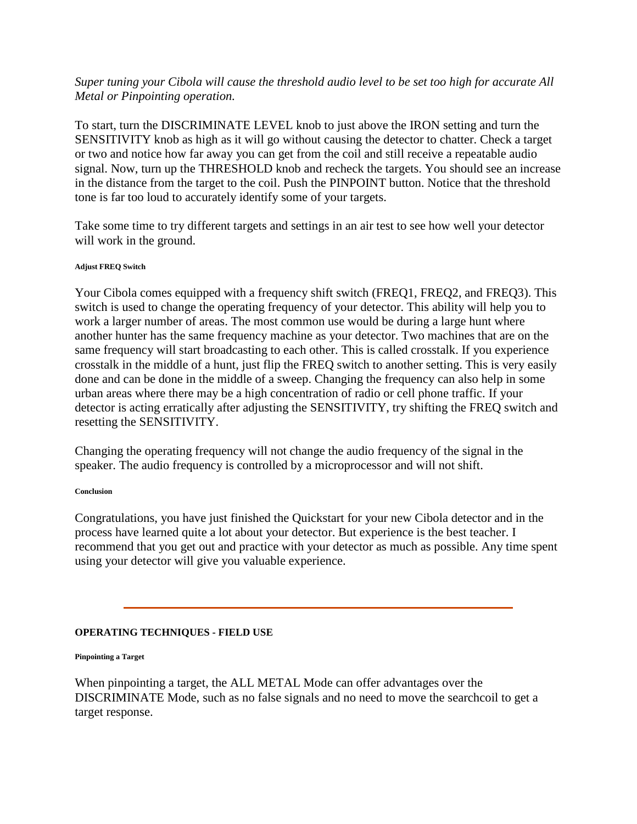# *Super tuning your Cibola will cause the threshold audio level to be set too high for accurate All Metal or Pinpointing operation.*

To start, turn the DISCRIMINATE LEVEL knob to just above the IRON setting and turn the SENSITIVITY knob as high as it will go without causing the detector to chatter. Check a target or two and notice how far away you can get from the coil and still receive a repeatable audio signal. Now, turn up the THRESHOLD knob and recheck the targets. You should see an increase in the distance from the target to the coil. Push the PINPOINT button. Notice that the threshold tone is far too loud to accurately identify some of your targets.

Take some time to try different targets and settings in an air test to see how well your detector will work in the ground.

### **Adjust FREQ Switch**

Your Cibola comes equipped with a frequency shift switch (FREQ1, FREQ2, and FREQ3). This switch is used to change the operating frequency of your detector. This ability will help you to work a larger number of areas. The most common use would be during a large hunt where another hunter has the same frequency machine as your detector. Two machines that are on the same frequency will start broadcasting to each other. This is called crosstalk. If you experience crosstalk in the middle of a hunt, just flip the FREQ switch to another setting. This is very easily done and can be done in the middle of a sweep. Changing the frequency can also help in some urban areas where there may be a high concentration of radio or cell phone traffic. If your detector is acting erratically after adjusting the SENSITIVITY, try shifting the FREQ switch and resetting the SENSITIVITY.

Changing the operating frequency will not change the audio frequency of the signal in the speaker. The audio frequency is controlled by a microprocessor and will not shift.

### **Conclusion**

Congratulations, you have just finished the Quickstart for your new Cibola detector and in the process have learned quite a lot about your detector. But experience is the best teacher. I recommend that you get out and practice with your detector as much as possible. Any time spent using your detector will give you valuable experience.

# **OPERATING TECHNIQUES - FIELD USE**

### **Pinpointing a Target**

When pinpointing a target, the ALL METAL Mode can offer advantages over the DISCRIMINATE Mode, such as no false signals and no need to move the searchcoil to get a target response.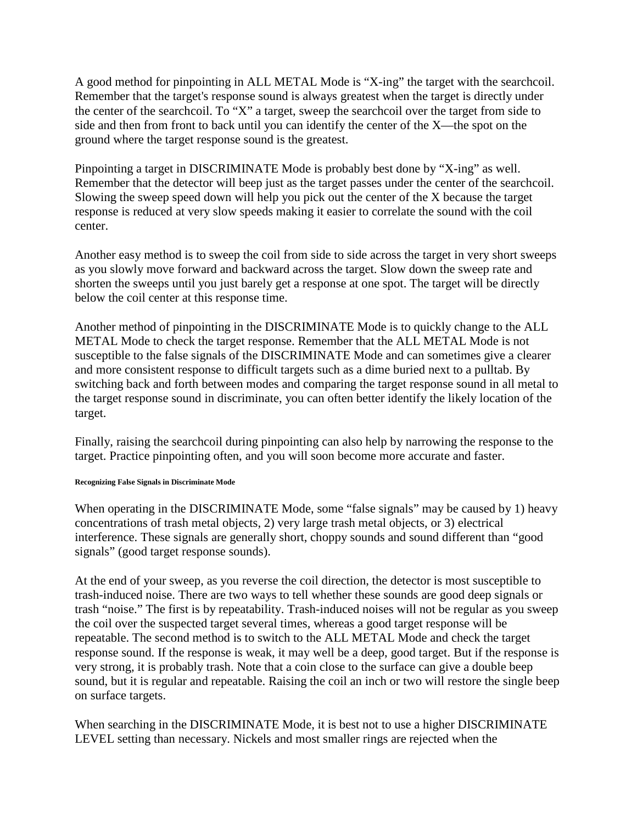A good method for pinpointing in ALL METAL Mode is "X-ing" the target with the searchcoil. Remember that the target's response sound is always greatest when the target is directly under the center of the searchcoil. To "X" a target, sweep the searchcoil over the target from side to side and then from front to back until you can identify the center of the X—the spot on the ground where the target response sound is the greatest.

Pinpointing a target in DISCRIMINATE Mode is probably best done by "X-ing" as well. Remember that the detector will beep just as the target passes under the center of the searchcoil. Slowing the sweep speed down will help you pick out the center of the X because the target response is reduced at very slow speeds making it easier to correlate the sound with the coil center.

Another easy method is to sweep the coil from side to side across the target in very short sweeps as you slowly move forward and backward across the target. Slow down the sweep rate and shorten the sweeps until you just barely get a response at one spot. The target will be directly below the coil center at this response time.

Another method of pinpointing in the DISCRIMINATE Mode is to quickly change to the ALL METAL Mode to check the target response. Remember that the ALL METAL Mode is not susceptible to the false signals of the DISCRIMINATE Mode and can sometimes give a clearer and more consistent response to difficult targets such as a dime buried next to a pulltab. By switching back and forth between modes and comparing the target response sound in all metal to the target response sound in discriminate, you can often better identify the likely location of the target.

Finally, raising the searchcoil during pinpointing can also help by narrowing the response to the target. Practice pinpointing often, and you will soon become more accurate and faster.

### **Recognizing False Signals in Discriminate Mode**

When operating in the DISCRIMINATE Mode, some "false signals" may be caused by 1) heavy concentrations of trash metal objects, 2) very large trash metal objects, or 3) electrical interference. These signals are generally short, choppy sounds and sound different than "good signals" (good target response sounds).

At the end of your sweep, as you reverse the coil direction, the detector is most susceptible to trash-induced noise. There are two ways to tell whether these sounds are good deep signals or trash "noise." The first is by repeatability. Trash-induced noises will not be regular as you sweep the coil over the suspected target several times, whereas a good target response will be repeatable. The second method is to switch to the ALL METAL Mode and check the target response sound. If the response is weak, it may well be a deep, good target. But if the response is very strong, it is probably trash. Note that a coin close to the surface can give a double beep sound, but it is regular and repeatable. Raising the coil an inch or two will restore the single beep on surface targets.

When searching in the DISCRIMINATE Mode, it is best not to use a higher DISCRIMINATE LEVEL setting than necessary. Nickels and most smaller rings are rejected when the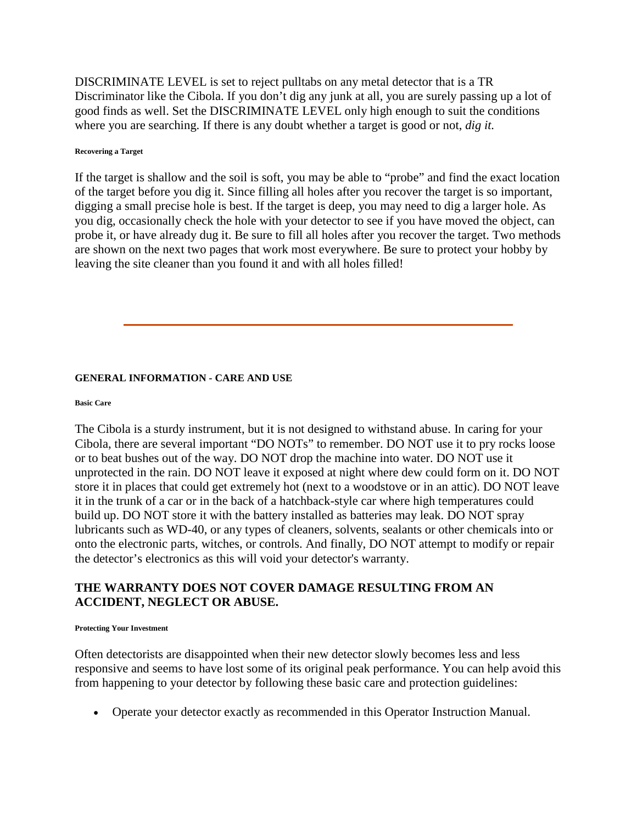DISCRIMINATE LEVEL is set to reject pulltabs on any metal detector that is a TR Discriminator like the Cibola. If you don't dig any junk at all, you are surely passing up a lot of good finds as well. Set the DISCRIMINATE LEVEL only high enough to suit the conditions where you are searching. If there is any doubt whether a target is good or not, *dig it.*

#### **Recovering a Target**

If the target is shallow and the soil is soft, you may be able to "probe" and find the exact location of the target before you dig it. Since filling all holes after you recover the target is so important, digging a small precise hole is best. If the target is deep, you may need to dig a larger hole. As you dig, occasionally check the hole with your detector to see if you have moved the object, can probe it, or have already dug it. Be sure to fill all holes after you recover the target. Two methods are shown on the next two pages that work most everywhere. Be sure to protect your hobby by leaving the site cleaner than you found it and with all holes filled!

# **GENERAL INFORMATION - CARE AND USE**

#### **Basic Care**

The Cibola is a sturdy instrument, but it is not designed to withstand abuse. In caring for your Cibola, there are several important "DO NOTs" to remember. DO NOT use it to pry rocks loose or to beat bushes out of the way. DO NOT drop the machine into water. DO NOT use it unprotected in the rain. DO NOT leave it exposed at night where dew could form on it. DO NOT store it in places that could get extremely hot (next to a woodstove or in an attic). DO NOT leave it in the trunk of a car or in the back of a hatchback-style car where high temperatures could build up. DO NOT store it with the battery installed as batteries may leak. DO NOT spray lubricants such as WD-40, or any types of cleaners, solvents, sealants or other chemicals into or onto the electronic parts, witches, or controls. And finally, DO NOT attempt to modify or repair the detector's electronics as this will void your detector's warranty.

# **THE WARRANTY DOES NOT COVER DAMAGE RESULTING FROM AN ACCIDENT, NEGLECT OR ABUSE.**

#### **Protecting Your Investment**

Often detectorists are disappointed when their new detector slowly becomes less and less responsive and seems to have lost some of its original peak performance. You can help avoid this from happening to your detector by following these basic care and protection guidelines:

• Operate your detector exactly as recommended in this Operator Instruction Manual.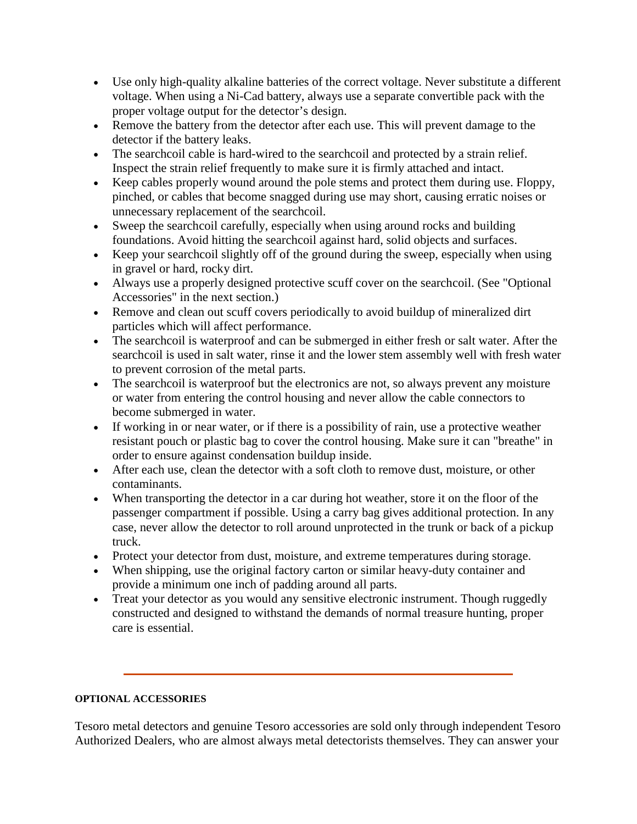- Use only high-quality alkaline batteries of the correct voltage. Never substitute a different voltage. When using a Ni-Cad battery, always use a separate convertible pack with the proper voltage output for the detector's design.
- Remove the battery from the detector after each use. This will prevent damage to the detector if the battery leaks.
- The searchcoil cable is hard-wired to the searchcoil and protected by a strain relief. Inspect the strain relief frequently to make sure it is firmly attached and intact.
- Keep cables properly wound around the pole stems and protect them during use. Floppy, pinched, or cables that become snagged during use may short, causing erratic noises or unnecessary replacement of the searchcoil.
- Sweep the searchcoil carefully, especially when using around rocks and building foundations. Avoid hitting the searchcoil against hard, solid objects and surfaces.
- Keep your searchcoil slightly off of the ground during the sweep, especially when using in gravel or hard, rocky dirt.
- Always use a properly designed protective scuff cover on the searchcoil. (See "Optional Accessories" in the next section.)
- Remove and clean out scuff covers periodically to avoid buildup of mineralized dirt particles which will affect performance.
- The searchcoil is waterproof and can be submerged in either fresh or salt water. After the searchcoil is used in salt water, rinse it and the lower stem assembly well with fresh water to prevent corrosion of the metal parts.
- The searchcoil is waterproof but the electronics are not, so always prevent any moisture or water from entering the control housing and never allow the cable connectors to become submerged in water.
- If working in or near water, or if there is a possibility of rain, use a protective weather resistant pouch or plastic bag to cover the control housing. Make sure it can "breathe" in order to ensure against condensation buildup inside.
- After each use, clean the detector with a soft cloth to remove dust, moisture, or other contaminants.
- When transporting the detector in a car during hot weather, store it on the floor of the passenger compartment if possible. Using a carry bag gives additional protection. In any case, never allow the detector to roll around unprotected in the trunk or back of a pickup truck.
- Protect your detector from dust, moisture, and extreme temperatures during storage.
- When shipping, use the original factory carton or similar heavy-duty container and provide a minimum one inch of padding around all parts.
- Treat your detector as you would any sensitive electronic instrument. Though ruggedly constructed and designed to withstand the demands of normal treasure hunting, proper care is essential.

# **OPTIONAL ACCESSORIES**

Tesoro metal detectors and genuine Tesoro accessories are sold only through independent Tesoro Authorized Dealers, who are almost always metal detectorists themselves. They can answer your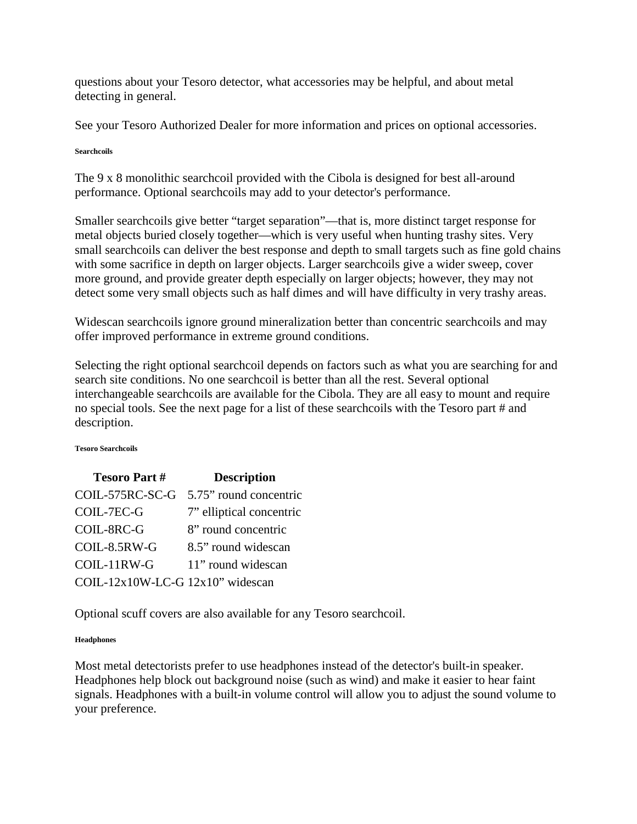questions about your Tesoro detector, what accessories may be helpful, and about metal detecting in general.

See your Tesoro Authorized Dealer for more information and prices on optional accessories.

**Searchcoils**

The 9 x 8 monolithic searchcoil provided with the Cibola is designed for best all-around performance. Optional searchcoils may add to your detector's performance.

Smaller searchcoils give better "target separation"—that is, more distinct target response for metal objects buried closely together—which is very useful when hunting trashy sites. Very small searchcoils can deliver the best response and depth to small targets such as fine gold chains with some sacrifice in depth on larger objects. Larger searchcoils give a wider sweep, cover more ground, and provide greater depth especially on larger objects; however, they may not detect some very small objects such as half dimes and will have difficulty in very trashy areas.

Widescan searchcoils ignore ground mineralization better than concentric searchcoils and may offer improved performance in extreme ground conditions.

Selecting the right optional searchcoil depends on factors such as what you are searching for and search site conditions. No one searchcoil is better than all the rest. Several optional interchangeable searchcoils are available for the Cibola. They are all easy to mount and require no special tools. See the next page for a list of these searchcoils with the Tesoro part # and description.

### **Tesoro Searchcoils**

| <b>Tesoro Part#</b>              | <b>Description</b>                     |
|----------------------------------|----------------------------------------|
|                                  | COIL-575RC-SC-G 5.75" round concentric |
| COIL-7EC-G                       | 7" elliptical concentric               |
| COIL-8RC-G                       | 8" round concentric                    |
| COIL-8.5RW-G                     | 8.5" round widescan                    |
| COIL-11RW-G                      | 11" round widescan                     |
| COIL-12x10W-LC-G 12x10" widescan |                                        |

Optional scuff covers are also available for any Tesoro searchcoil.

# **Headphones**

Most metal detectorists prefer to use headphones instead of the detector's built-in speaker. Headphones help block out background noise (such as wind) and make it easier to hear faint signals. Headphones with a built-in volume control will allow you to adjust the sound volume to your preference.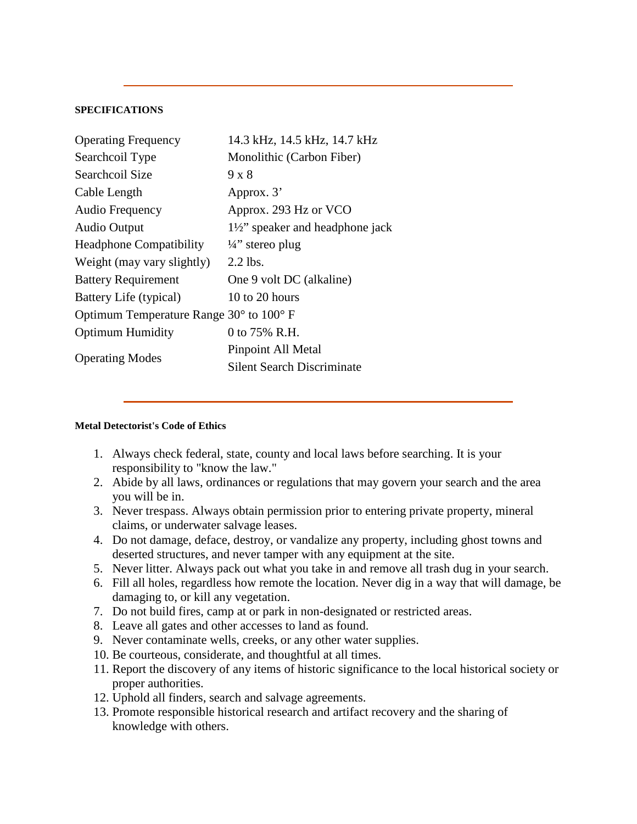### **SPECIFICATIONS**

| <b>Operating Frequency</b>                                | 14.3 kHz, 14.5 kHz, 14.7 kHz              |
|-----------------------------------------------------------|-------------------------------------------|
| Searchcoil Type                                           | Monolithic (Carbon Fiber)                 |
| Searchcoil Size                                           | $9 \times 8$                              |
| Cable Length                                              | Approx. 3'                                |
| Audio Frequency                                           | Approx. 293 Hz or VCO                     |
| <b>Audio Output</b>                                       | $1\frac{1}{2}$ speaker and headphone jack |
| <b>Headphone Compatibility</b>                            | $\frac{1}{4}$ " stereo plug               |
| Weight (may vary slightly)                                | $2.2$ lbs.                                |
| <b>Battery Requirement</b>                                | One 9 volt DC (alkaline)                  |
| Battery Life (typical)                                    | 10 to 20 hours                            |
| Optimum Temperature Range $30^{\circ}$ to $100^{\circ}$ F |                                           |
| <b>Optimum Humidity</b>                                   | 0 to 75% R.H.                             |
| <b>Operating Modes</b>                                    | Pinpoint All Metal                        |
|                                                           | Silent Search Discriminate                |

### **Metal Detectorist's Code of Ethics**

- 1. Always check federal, state, county and local laws before searching. It is your responsibility to "know the law."
- 2. Abide by all laws, ordinances or regulations that may govern your search and the area you will be in.
- 3. Never trespass. Always obtain permission prior to entering private property, mineral claims, or underwater salvage leases.
- 4. Do not damage, deface, destroy, or vandalize any property, including ghost towns and deserted structures, and never tamper with any equipment at the site.
- 5. Never litter. Always pack out what you take in and remove all trash dug in your search.
- 6. Fill all holes, regardless how remote the location. Never dig in a way that will damage, be damaging to, or kill any vegetation.
- 7. Do not build fires, camp at or park in non-designated or restricted areas.
- 8. Leave all gates and other accesses to land as found.
- 9. Never contaminate wells, creeks, or any other water supplies.
- 10. Be courteous, considerate, and thoughtful at all times.
- 11. Report the discovery of any items of historic significance to the local historical society or proper authorities.
- 12. Uphold all finders, search and salvage agreements.
- 13. Promote responsible historical research and artifact recovery and the sharing of knowledge with others.